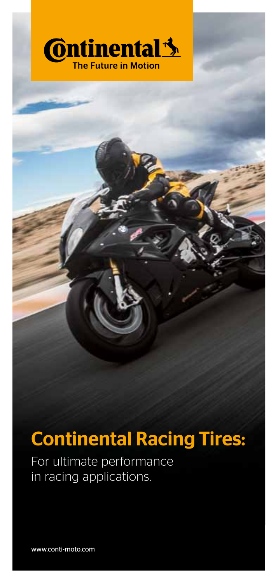

# Continental Racing Tires:

For ultimate performance in racing applications.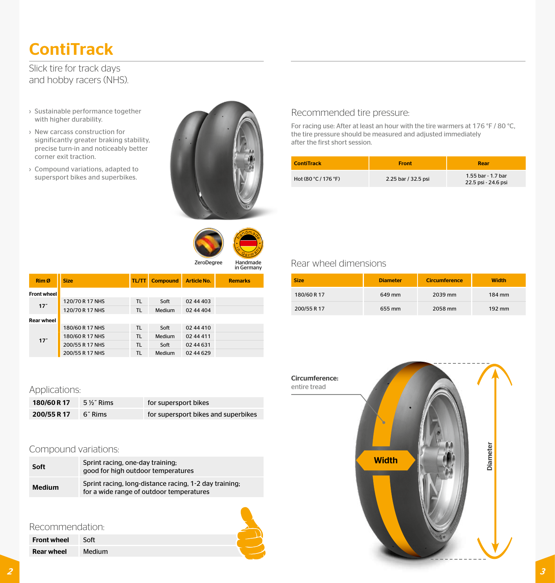# **ContiTrack**

Slick tire for track days and hobby racers (NHS).

- › Sustainable performance together with higher durability.
- › New carcass construction for significantly greater braking stability, precise turn-in and noticeably better corner exit traction.
- › Compound variations, adapted to supersport bikes and superbikes.





Rim Ø Size TL/TT Compound Article No. Remarks Front wheel 17″ 120/70 R 17 NHS TL Soft 02 44 403<br>120/70 R 17 NHS TL Medium 02 44 404 Rear wheel 17˝ 180/60 R 17 NHS TL Soft 02 44 410 180/60 R 17 NHS TL Medium 02 44 411 200/55 R 17 NHS TL Soft 02 44 631 200/55 R 17 NHS TL Medium 02 44 629

# Recommended tire pressure:

For racing use: After at least an hour with the tire warmers at 176 °F / 80 °C, the tire pressure should be measured and adjusted immediately after the first short session.

| <b>ContiTrack</b>    | <b>Front</b>        | Rear                                      |
|----------------------|---------------------|-------------------------------------------|
| Hot (80 °C / 176 °F) | 2.25 bar / 32.5 psi | 1.55 bar - 1.7 bar<br>22.5 psi - 24.6 psi |

# Rear wheel dimensions

| <b>Size</b> | <b>Diameter</b> | <b>Circumference</b> | <b>Width</b>        |
|-------------|-----------------|----------------------|---------------------|
| 180/60 R 17 | 649 mm          | 2039 mm              | 184 mm              |
| 200/55 R 17 | 655 mm          | 2058 mm              | $192 \,\mathrm{mm}$ |

## Applications:

| 180/60 R 17 | 5 %" Rims | for supersport bikes                |
|-------------|-----------|-------------------------------------|
| 200/55 R 17 | 6″ Rims   | for supersport bikes and superbikes |

# Compound variations:

| Soft   | Sprint racing, one-day training;<br>good for high outdoor temperatures                             |
|--------|----------------------------------------------------------------------------------------------------|
| Medium | Sprint racing, long-distance racing, 1-2 day training;<br>for a wide range of outdoor temperatures |

## Recommendation:

| <b>Front wheel</b> | Soft   |
|--------------------|--------|
| <b>Rear wheel</b>  | Medium |



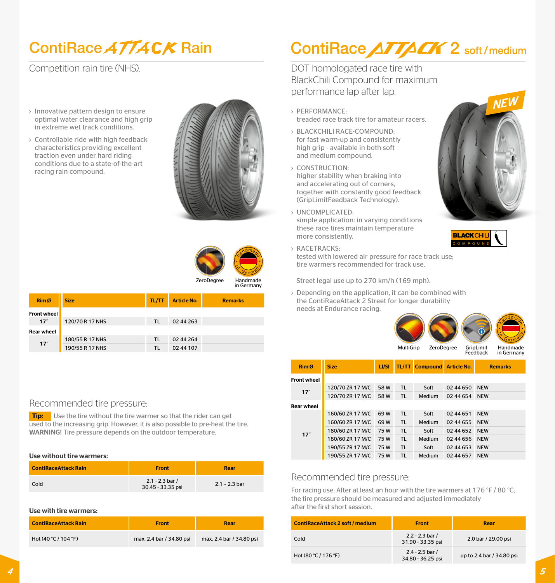# ContiRace ATTACK Rain

Competition rain tire (NHS).

- › Innovative pattern design to ensure optimal water clearance and high grip in extreme wet track conditions.
- › Controllable ride with high feedback characteristics providing excellent traction even under hard riding conditions due to a state-of-the-art racing rain compound.





| Rim Ø              | <b>Size</b>     | <b>TL/TT</b> | <b>Article No.</b> | <b>Remarks</b> |
|--------------------|-----------------|--------------|--------------------|----------------|
| <b>Front wheel</b> |                 |              |                    |                |
| 17 <sup>°</sup>    | 120/70 R 17 NHS | TL.          | 02 44 263          |                |
| <b>Rear wheel</b>  |                 |              |                    |                |
| 17 <sup>th</sup>   | 180/55 R 17 NHS | TL.          | 02 44 2 64         |                |
|                    | 190/55 R 17 NHS | TL           | 02 44 107          |                |

## Recommended tire pressure:

**Tip:** Use the tire without the tire warmer so that the rider can get used to the increasing grip. However, it is also possible to pre-heat the tire. WARNING! Tire pressure depends on the outdoor temperature.

#### Use without tire warmers:

| <b>ContiRaceAttack Rain</b> | <b>Front</b>                           | Rear            |
|-----------------------------|----------------------------------------|-----------------|
| Cold                        | $2.1 - 2.3$ bar /<br>30.45 - 33.35 psi | $2.1 - 2.3$ bar |

#### Use with tire warmers:

| <b>ContiRaceAttack Rain</b> | <b>Front</b>             | Rear                     |
|-----------------------------|--------------------------|--------------------------|
| Hot $(40 °C / 104 °F)$      | max. 2.4 bar / 34.80 psi | max. 2.4 bar / 34.80 psi |

# ContiRace ATTACK 2 soft/medium

DOT homologated race tire with BlackChili Compound for maximum performance lap after lap.

- › PERFORMANCE: treaded race track tire for amateur racers.
- › BLACKCHILI RACE-COMPOUND: for fast warm-up and consistently high grip - available in both soft and medium compound.
- › CONSTRUCTION: higher stability when braking into and accelerating out of corners, together with constantly good feedback (GripLimitFeedback Technology).
- › UNCOMPLICATED: simple application: in varying conditions these race tires maintain temperature more consistently.
- › RACETRACKS: tested with lowered air pressure for race track use; tire warmers recommended for track use.

Street legal use up to 270 km/h (169 mph).

› Depending on the application, it can be combined with the ContiRaceAttack 2 Street for longer durability needs at Endurance racing.



| Rim Ø              | <b>Size</b>      | LI/SI | TL/TT     | <b>Compound</b> | <b>Article No.</b> | <b>Remarks</b> |
|--------------------|------------------|-------|-----------|-----------------|--------------------|----------------|
| <b>Front wheel</b> |                  |       |           |                 |                    |                |
| 17"                | 120/70 ZR 17 M/C | 58W   | <b>TL</b> | Soft            | 02 44 650          | <b>NEW</b>     |
|                    | 120/70 ZR 17 M/C | 58W   | TL        | Medium          | 02 44 654          | <b>NEW</b>     |
| <b>Rear wheel</b>  |                  |       |           |                 |                    |                |
|                    | 160/60 ZR 17 M/C | 69W   | TL.       | Soft            | 02 44 651          | <b>NEW</b>     |
|                    | 160/60 ZR 17 M/C | 69W   | <b>TL</b> | Medium          | 02 44 655          | <b>NEW</b>     |
| 17"                | 180/60 ZR 17 M/C | 75W   | TL.       | Soft            | 02 44 652          | <b>NEW</b>     |
|                    | 180/60 ZR 17 M/C | 75W   | <b>TL</b> | Medium          | 02 44 656          | <b>NEW</b>     |
|                    | 190/55 ZR 17 M/C | 75W   | <b>TL</b> | Soft            | 02 44 653          | <b>NEW</b>     |
|                    | 190/55 ZR 17 M/C | 75W   | <b>TL</b> | Medium          | 02 44 657          | <b>NEW</b>     |

## Recommended tire pressure:

For racing use: After at least an hour with the tire warmers at 176 °F / 80 °C, the tire pressure should be measured and adjusted immediately after the first short session.

| <b>ContiRaceAttack 2 soft / medium</b> | <b>Front</b>                           | Rear                      |
|----------------------------------------|----------------------------------------|---------------------------|
| Cold                                   | $2.2 - 2.3$ bar /<br>31.90 - 33.35 psi | 2.0 bar / 29.00 psi       |
| Hot (80 °C / 176 °F)                   | $2.4 - 2.5$ bar /<br>34.80 - 36.25 psi | up to 2.4 bar / 34.80 psi |



**BLACK CHILI** 

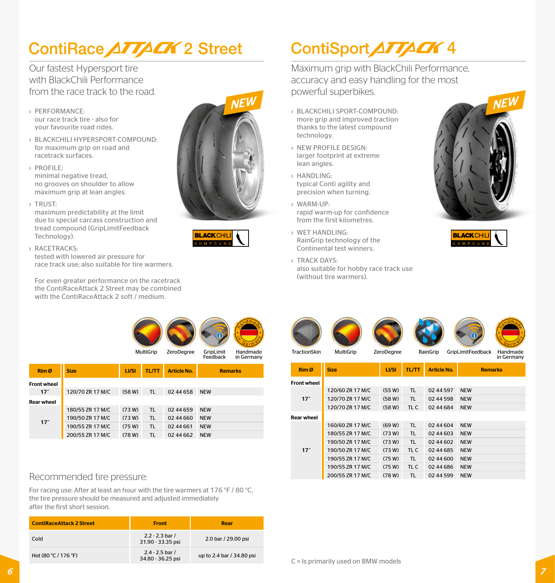# ContiRace ATTACK 2 Street

Our fastest Hypersport tire with BlackChili Performance from the race track to the road.

- › PERFORMANCE: our race track tire - also for your favourite road rides.
- › BLACKCHILI HYPERSPORT-COMPOUND: for maximum grip on road and racetrack surfaces.
- › PROFILE: minimal negative tread, no grooves on shoulder to allow maximum grip at lean angles.

› Trust:

maximum predictability at the limit due to special carcass construction and tread compound (GripLimitFeedback Technology).

› RACETRACKS:

tested with lowered air pressure for race track use; also suitable for tire warmers.

For even greater performance on the racetrack the ContiRaceAttack 2 Street may be combined with the ContiRaceAttack 2 soft / medium.





# ContiSport ATTACK 4

Maximum grip with BlackChili Performance, accuracy and easy handling for the most powerful superbikes.

- › BLACKCHILI SPORT-COMPOUND: more grip and improved traction thanks to the latest compound technology.
- › NEW PROFILE DESIGN: larger footprint at extreme lean angles.
- › HANDLING: typical Conti agility and precision when turning.
- › WARM-UP: rapid warm-up for confidence from the first kilometres.
- › WET HANDLING: RainGrip technology of the Continental test winners.

Front wheel 17˝

Rear wheel

17˝

› TRACK DAYS: also suitable for hobby race track use (without tire warmers).

Rim Ø <mark>Size LI/SI TL/TT Article No. Remarks</mark>

TractionSkin MultiGrip ZeroDegree RainGrip GripLimitFeedback Handmade

120/60 ZR 17 M/C (55 W) TL 02 44 597 NEW 120/70 ZR 17 M/C (58 W) TL 02 44 598 NEW 120/70 ZR 17 M/C (58 W) TL C 02 44 684 NEW

160/60 ZR 17 M/C (69 W) TL 02 44 604 NEW 180/55 ZR 17 M/C (73 W) TL 02 44 603 NEW 190/50 ZR 17 M/C (73 W) TL 02 44 602 NEW 190/50 ZR 17 M/C (73 W) TL C 02 44 685 NEW 190/55 ZR 17 M/C (75 W) TL 02 44 600 NEW 190/55 ZR 17 M/C (75 W) TL C 02 44 686 NEW 200/55 ZR 17 M/C (78 W) TL 02 44 599 NEW





in Germany

MultiGrip ZeroDegree GripLimit Handmade in Germany

| Rim Ø              | <b>Size</b>      | LI/SI  | <b>TL/TT</b> | <b>Article No.</b> | <b>Remarks</b> |
|--------------------|------------------|--------|--------------|--------------------|----------------|
| <b>Front wheel</b> |                  |        |              |                    |                |
| 17 <sup>°</sup>    | 120/70 ZR 17 M/C | (58 W) | TL.          | 02 44 658          | <b>NEW</b>     |
| <b>Rear wheel</b>  |                  |        |              |                    |                |
|                    | 180/55 ZR 17 M/C | (73 W) | TL.          | 02 44 659          | <b>NEW</b>     |
| 17"                | 190/50 ZR 17 M/C | (73 W) | TL.          | 02 44 660          | <b>NEW</b>     |
|                    | 190/55 ZR 17 M/C | (75 W) | TL.          | 02 44 661          | <b>NEW</b>     |
|                    | 200/55 ZR 17 M/C | (78 W) | TL.          | 02 44 662          | <b>NEW</b>     |

## Recommended tire pressure:

For racing use: After at least an hour with the tire warmers at 176 °F / 80 °C. the tire pressure should be measured and adjusted immediately after the first short session.

| <b>ContiRaceAttack 2 Street</b> | <b>Front</b>                           | Rear                      |
|---------------------------------|----------------------------------------|---------------------------|
| Cold                            | $2.2 - 2.3$ bar /<br>31.90 - 33.35 psi | 2.0 bar / 29.00 psi       |
| Hot (80 °C / 176 °F)            | $2.4 - 2.5$ bar /<br>34.80 - 36.25 psi | up to 2.4 bar / 34.80 psi |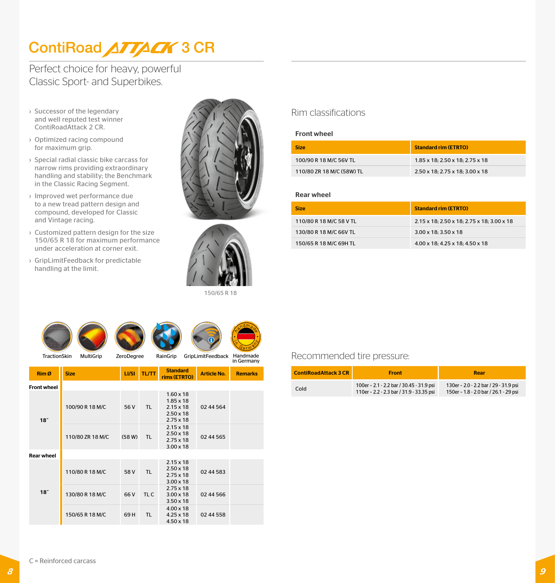# ContiRoad ATTACK 3 CR

Perfect choice for heavy, powerful Classic Sport- and Superbikes.

- › Successor of the legendary and well reputed test winner ContiRoadAttack 2 CR.
- › Optimized racing compound for maximum grip.
- › Special radial classic bike carcass for narrow rims providing extraordinary handling and stability; the Benchmark in the Classic Racing Segment.
- › Improved wet performance due to a new tread pattern design and compound, developed for Classic and Vintage racing.
- › Customized pattern design for the size 150/65 R 18 for maximum performance under acceleration at corner exit.
- › GripLimitFeedback for predictable handling at the limit.





150/65 R 18

in Germany

# Rim classifications

### Front wheel

| <b>Size</b>               | <b>Standard rim (ETRTO)</b>     |
|---------------------------|---------------------------------|
| 100/90 R 18 M/C 56V TL    | 1.85 x 18: 2.50 x 18: 2.75 x 18 |
| 110/80 ZR 18 M/C (58W) TL | 2.50 x 18: 2.75 x 18: 3.00 x 18 |

### Rear wheel

| <b>Size</b>             | <b>Standard rim (ETRTO)</b>                |
|-------------------------|--------------------------------------------|
| 110/80 R 18 M/C 58 V TL | 2.15 x 18: 2.50 x 18: 2.75 x 18: 3.00 x 18 |
| 130/80 R 18 M/C 66V TL  | $3.00 \times 18$ : 3.50 $\times$ 18        |
| 150/65 R 18 M/C 69H TL  | 4.00 x 18: 4.25 x 18: 4.50 x 18            |

## Recommended tire pressure:

| <b>ContiRoadAttack 3 CR</b> | <b>Front</b>                                                                         | Rear                                                                           |
|-----------------------------|--------------------------------------------------------------------------------------|--------------------------------------------------------------------------------|
| Cold                        | 100er - 2.1 - 2.2 bar / 30.45 - 31.9 psi<br>110er - 2.2 - 2.3 bar / 31.9 - 33.35 psi | 130er - 2.0 - 2.2 bar / 29 - 31.9 psi<br>150er - 1.8 - 2.0 bar / 26.1 - 29 psi |

|  | Rim Ø              | <b>Size</b>      | LI/SI  | <b>TL/TT</b> | <b>Standard</b><br>rims (ETRTO)                                                                  | <b>Article No.</b> | <b>Remarks</b> |
|--|--------------------|------------------|--------|--------------|--------------------------------------------------------------------------------------------------|--------------------|----------------|
|  | <b>Front wheel</b> |                  |        |              |                                                                                                  |                    |                |
|  | 18 <sup>th</sup>   | 100/90 R 18 M/C  | 56 V   | TL.          | $1.60 \times 18$<br>$1.85 \times 18$<br>$2.15 \times 18$<br>$2.50 \times 18$<br>$2.75 \times 18$ | 02 44 5 64         |                |
|  |                    | 110/80 ZR 18 M/C | (58 W) | TL.          | $2.15 \times 18$<br>$2.50 \times 18$<br>$2.75 \times 18$<br>$3.00 \times 18$                     | 02 44 565          |                |
|  | <b>Rear wheel</b>  |                  |        |              |                                                                                                  |                    |                |
|  |                    | 110/80 R 18 M/C  | 58 V   | TL           | $2.15 \times 18$<br>$2.50 \times 18$<br>$2.75 \times 18$<br>$3.00 \times 18$                     | 02 44 583          |                |
|  | 18 <sup>7</sup>    | 130/80 R 18 M/C  | 66 V   | TL C         | $2.75 \times 18$<br>$3.00 \times 18$<br>$3.50 \times 18$                                         | 02 44 566          |                |
|  |                    | 150/65 R 18 M/C  | 69 H   | <b>TL</b>    | $4.00 \times 18$<br>$4.25 \times 18$<br>$4.50 \times 18$                                         | 02 44 558          |                |

TractionSkin MultiGrip ZeroDegree RainGrip GripLimitFeedback Handmade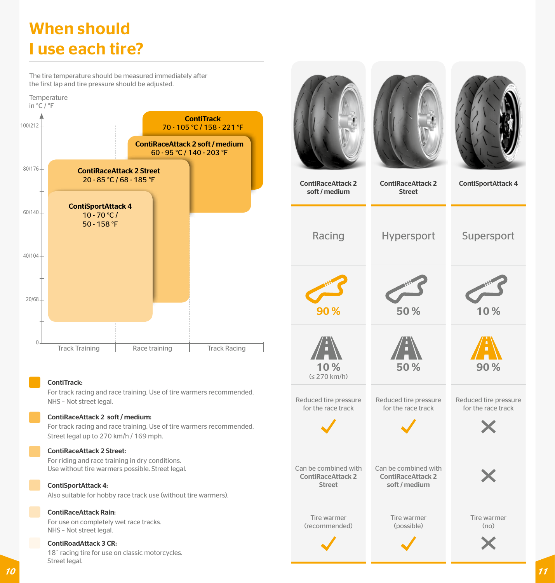# When should I use each tire?

The tire temperature should be measured immediately after the first lap and tire pressure should be adjusted.



### ContiTrack:

For track racing and race training. Use of tire warmers recommended. NHS – Not street legal.

### ContiRaceAttack 2 soft / medium:

For track racing and race training. Use of tire warmers recommended. Street legal up to 270 km/h / 169 mph.

#### ContiRaceAttack 2 Street:

For riding and race training in dry conditions. Use without tire warmers possible. Street legal.

#### ContiSportAttack 4:

Also suitable for hobby race track use (without tire warmers).

### ContiRaceAttack Rain:

For use on completely wet race tracks. NHS – Not street legal.

#### ContiRoadAttack 3 CR:

18˝ racing tire for use on classic motorcycles. Street legal.

| <b>ContiRaceAttack 2</b><br>soft / medium                         | <b>ContiRaceAttack 2</b><br><b>Street</b>                         | <b>ContiSportAttack 4</b>                   |
|-------------------------------------------------------------------|-------------------------------------------------------------------|---------------------------------------------|
| Racing                                                            | Hypersport                                                        | Supersport                                  |
| 90%                                                               | 50%                                                               | 10%                                         |
| î,<br>10%<br>$(5270 \text{ km/h})$                                | Ĥ,<br>50%                                                         | 90%                                         |
| Reduced tire pressure<br>for the race track                       | Reduced tire pressure<br>for the race track                       | Reduced tire pressure<br>for the race track |
| Can be combined with<br><b>ContiRaceAttack 2</b><br><b>Street</b> | Can be combined with<br><b>ContiRaceAttack 2</b><br>soft / medium |                                             |
| Tire warmer<br>(recommended)                                      | Tire warmer<br>(possible)                                         | Tire warmer<br>(no)                         |